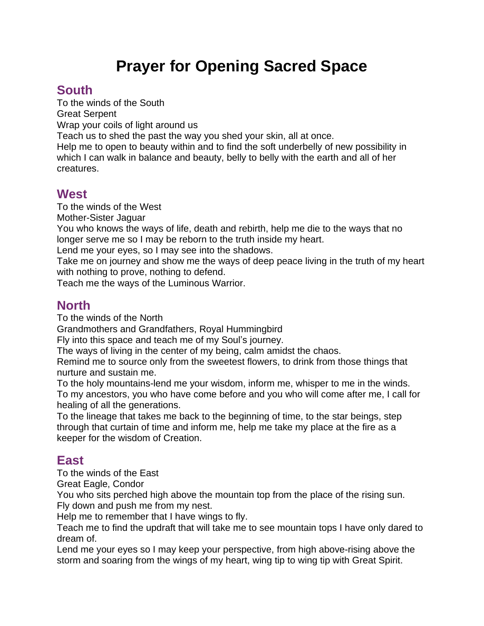# **Prayer for Opening Sacred Space**

# **South**

To the winds of the South Great Serpent Wrap your coils of light around us

Teach us to shed the past the way you shed your skin, all at once.

Help me to open to beauty within and to find the soft underbelly of new possibility in which I can walk in balance and beauty, belly to belly with the earth and all of her creatures.

### **West**

To the winds of the West

Mother-Sister Jaguar

You who knows the ways of life, death and rebirth, help me die to the ways that no longer serve me so I may be reborn to the truth inside my heart.

Lend me your eyes, so I may see into the shadows.

Take me on journey and show me the ways of deep peace living in the truth of my heart with nothing to prove, nothing to defend.

Teach me the ways of the Luminous Warrior.

### **North**

To the winds of the North

Grandmothers and Grandfathers, Royal Hummingbird

Fly into this space and teach me of my Soul's journey.

The ways of living in the center of my being, calm amidst the chaos.

Remind me to source only from the sweetest flowers, to drink from those things that nurture and sustain me.

To the holy mountains-lend me your wisdom, inform me, whisper to me in the winds. To my ancestors, you who have come before and you who will come after me, I call for healing of all the generations.

To the lineage that takes me back to the beginning of time, to the star beings, step through that curtain of time and inform me, help me take my place at the fire as a keeper for the wisdom of Creation.

# **East**

To the winds of the East

Great Eagle, Condor

You who sits perched high above the mountain top from the place of the rising sun. Fly down and push me from my nest.

Help me to remember that I have wings to fly.

Teach me to find the updraft that will take me to see mountain tops I have only dared to dream of.

Lend me your eyes so I may keep your perspective, from high above-rising above the storm and soaring from the wings of my heart, wing tip to wing tip with Great Spirit.